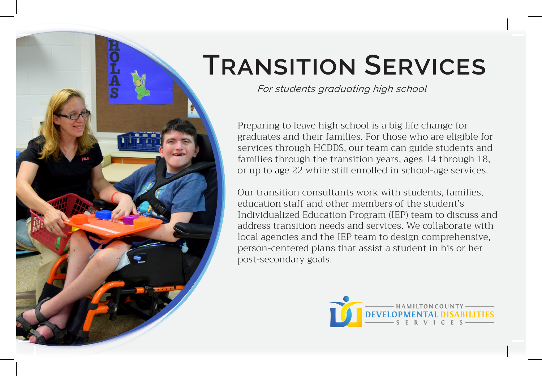

# **Transition Services**

*For students graduating high school* 

Preparing to leave high school is a big life change for graduates and their families. For those who are eligible for services through HCDDS, our team can guide students and families through the transition years, ages 14 through 18, or up to age 22 while still enrolled in school-age services.

Our transition consultants work with students, families, education staff and other members of the student's Individualized Education Program (IEP) team to discuss and address transition needs and services. We collaborate with local agencies and the IEP team to design comprehensive, person-centered plans that assist a student in his or her post-secondary goals.